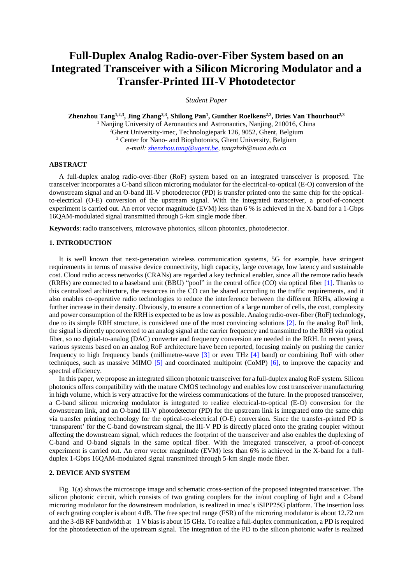# **Full-Duplex Analog Radio-over-Fiber System based on an Integrated Transceiver with a Silicon Microring Modulator and a Transfer-Printed III-V Photodetector**

*Student Paper*

**Zhenzhou Tang1,2,3 , Jing Zhang2,3 , Shilong Pan<sup>1</sup> , Gunther Roelkens2,3 , Dries Van Thourhout2,3** <sup>1</sup> Nanjing University of Aeronautics and Astronautics, Nanjing, 210016, China <sup>2</sup>Ghent University-imec*,* Technologiepark 126, 9052, Ghent, Belgium <sup>3</sup> Center for Nano- and Biophotonics, Ghent University, Belgium *e-mail[: zhenzhou.tang@ugent.be,](mailto:zhenzhou.tang@ugent.be) tangzhzh@nuaa.edu.cn*

## **ABSTRACT**

A full-duplex analog radio-over-fiber (RoF) system based on an integrated transceiver is proposed. The transceiver incorporates a C-band silicon microring modulator for the electrical-to-optical (E-O) conversion of the downstream signal and an O-band III-V photodetector (PD) is transfer printed onto the same chip for the opticalto-electrical (O-E) conversion of the upstream signal. With the integrated transceiver, a proof-of-concept experiment is carried out. An error vector magnitude (EVM) less than 6 % is achieved in the X-band for a 1-Gbps 16QAM-modulated signal transmitted through 5-km single mode fiber.

**Keywords**: radio transceivers, microwave photonics, silicon photonics, photodetector.

# **1. INTRODUCTION**

It is well known that next-generation wireless communication systems, 5G for example, have stringent requirements in terms of massive device connectivity, high capacity, large coverage, low latency and sustainable cost. Cloud radio access networks (CRANs) are regarded a key technical enabler, since all the remote radio heads (RRHs) are connected to a baseband unit (BBU) "pool" in the central office (CO) via optical fiber [1]. Thanks to this centralized architecture, the resources in the CO can be shared according to the traffic requirements, and it also enables co-operative radio technologies to reduce the interference between the different RRHs, allowing a further increase in their density. Obviously, to ensure a connection of a large number of cells, the cost, complexity and power consumption of the RRH is expected to be as low as possible. Analog radio-over-fiber (RoF) technology, due to its simple RRH structure, is considered one of the most convincing solutions [2]. In the analog RoF link, the signal is directly upconverted to an analog signal at the carrier frequency and transmitted to the RRH via optical fiber, so no digital-to-analog (DAC) converter and frequency conversion are needed in the RRH. In recent years, various systems based on an analog RoF architecture have been reported, focusing mainly on pushing the carrier frequency to high frequency bands (millimetre-wave [3] or even THz [4] band) or combining RoF with other techniques, such as massive MIMO [5] and coordinated multipoint (CoMP) [6], to improve the capacity and spectral efficiency.

In this paper, we propose an integrated silicon photonic transceiver for a full-duplex analog RoF system. Silicon photonics offers compatibility with the mature CMOS technology and enables low cost transceiver manufacturing in high volume, which is very attractive for the wireless communications of the future. In the proposed transceiver, a C-band silicon microring modulator is integrated to realize electrical-to-optical (E-O) conversion for the downstream link, and an O-band III-V photodetector (PD) for the upstream link is integrated onto the same chip via transfer printing technology for the optical-to-electrical (O-E) conversion. Since the transfer-printed PD is 'transparent' for the C-band downstream signal, the III-V PD is directly placed onto the grating coupler without affecting the downstream signal, which reduces the footprint of the transceiver and also enables the duplexing of C-band and O-band signals in the same optical fiber. With the integrated transceiver, a proof-of-concept experiment is carried out. An error vector magnitude (EVM) less than 6% is achieved in the X-band for a fullduplex 1-Gbps 16QAM-modulated signal transmitted through 5-km single mode fiber.

## **2. DEVICE AND SYSTEM**

Fig. 1(a) shows the microscope image and schematic cross-section of the proposed integrated transceiver. The silicon photonic circuit, which consists of two grating couplers for the in/out coupling of light and a C-band microring modulator for the downstream modulation, is realized in imec's iSIPP25G platform. The insertion loss of each grating coupler is about 4 dB. The free spectral range (FSR) of the microring modulator is about 12.72 nm and the 3-dB RF bandwidth at  $-1$  V bias is about 15 GHz. To realize a full-duplex communication, a PD is required for the photodetection of the upstream signal. The integration of the PD to the silicon photonic wafer is realized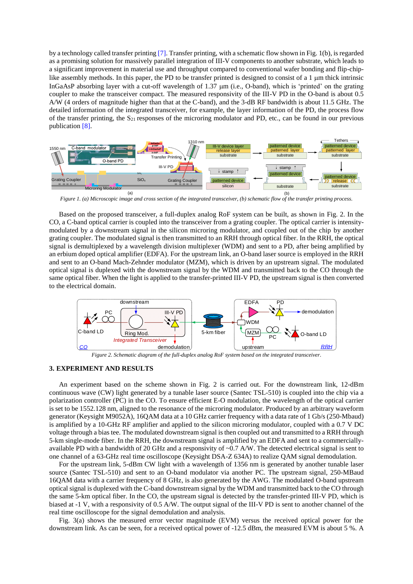by a technology called transfer printing [7]. Transfer printing, with a schematic flow shown in Fig. 1(b), is regarded as a promising solution for massively parallel integration of III-V components to another substrate, which leads to a significant improvement in material use and throughput compared to conventional wafer bonding and flip-chiplike assembly methods. In this paper, the PD to be transfer printed is designed to consist of a  $1 \mu m$  thick intrinsic InGaAsP absorbing layer with a cut-off wavelength of 1.37  $\mu$ m (i.e., O-band), which is 'printed' on the grating coupler to make the transceiver compact. The measured responsivity of the III-V PD in the O-band is about 0.5 A/W (4 orders of magnitude higher than that at the C-band), and the 3-dB RF bandwidth is about 11.5 GHz. The detailed information of the integrated transceiver, for example, the layer information of the PD, the process flow of the transfer printing, the  $S_{21}$  responses of the microring modulator and PD, etc., can be found in our previous publication [8].



*Figure 1. (a) Microscopic image and cross section of the integrated transceiver, (b) schematic flow of the transfer printing process.*

Based on the proposed transceiver, a full-duplex analog RoF system can be built, as shown in Fig. 2. In the CO, a C-band optical carrier is coupled into the transceiver from a grating coupler. The optical carrier is intensitymodulated by a downstream signal in the silicon microring modulator, and coupled out of the chip by another grating coupler. The modulated signal is then transmitted to an RRH through optical fiber. In the RRH, the optical signal is demultiplexed by a wavelength division multiplexer (WDM) and sent to a PD, after being amplified by an erbium doped optical amplifier (EDFA). For the upstream link, an O-band laser source is employed in the RRH and sent to an O-band Mach-Zehnder modulator (MZM), which is driven by an upstream signal. The modulated optical signal is duplexed with the downstream signal by the WDM and transmitted back to the CO through the same optical fiber. When the light is applied to the transfer-printed III-V PD, the upstream signal is then converted to the electrical domain.



*Figure 2. Schematic diagram of the full-duplex analog RoF system based on the integrated transceiver.*

#### **3. EXPERIMENT AND RESULTS**

An experiment based on the scheme shown in Fig. 2 is carried out. For the downstream link, 12-dBm continuous wave (CW) light generated by a tunable laser source (Santec TSL-510) is coupled into the chip via a polarization controller (PC) in the CO. To ensure efficient E-O modulation, the wavelength of the optical carrier is set to be 1552.128 nm, aligned to the resonance of the microring modulator. Produced by an arbitrary waveform generator (Keysight M9052A), 16QAM data at a 10 GHz carrier frequency with a data rate of 1 Gb/s (250-Mbaud) is amplified by a 10-GHz RF amplifier and applied to the silicon microring modulator, coupled with a 0.7 V DC voltage through a bias tee. The modulated downstream signal is then coupled out and transmitted to a RRH through 5-km single-mode fiber. In the RRH, the downstream signal is amplified by an EDFA and sent to a commerciallyavailable PD with a bandwidth of 20 GHz and a responsivity of ~0.7 A/W. The detected electrical signal is sent to one channel of a 63-GHz real time oscilloscope (Keysight DSA-Z 634A) to realize QAM signal demodulation.

For the upstream link, 5-dBm CW light with a wavelength of 1356 nm is generated by another tunable laser source (Santec TSL-510) and sent to an O-band modulator via another PC. The upstream signal, 250-MBaud 16QAM data with a carrier frequency of 8 GHz, is also generated by the AWG. The modulated O-band upstream optical signal is duplexed with the C-band downstream signal by the WDM and transmitted back to the CO through the same 5-km optical fiber. In the CO, the upstream signal is detected by the transfer-printed III-V PD, which is biased at -1 V, with a responsivity of 0.5 A/W. The output signal of the III-V PD is sent to another channel of the real time oscilloscope for the signal demodulation and analysis.

Fig. 3(a) shows the measured error vector magnitude (EVM) versus the received optical power for the downstream link. As can be seen, for a received optical power of -12.5 dBm, the measured EVM is about 5 %. A